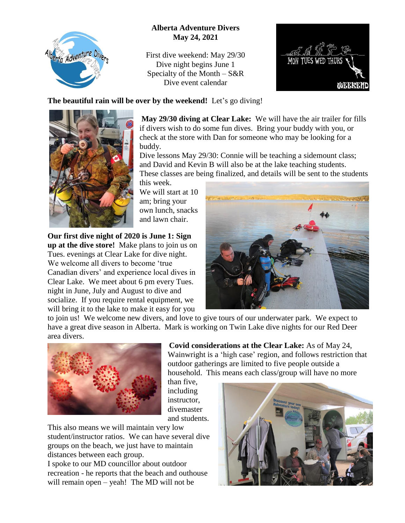

## **Alberta Adventure Divers May 24, 2021**

First dive weekend: May 29/30 Dive night begins June 1 Specialty of the Month – S&R Dive event calendar



## **The beautiful rain will be over by the weekend!** Let's go diving!



**May 29/30 diving at Clear Lake:** We will have the air trailer for fills if divers wish to do some fun dives. Bring your buddy with you, or check at the store with Dan for someone who may be looking for a buddy.

Dive lessons May 29/30: Connie will be teaching a sidemount class; and David and Kevin B will also be at the lake teaching students. These classes are being finalized, and details will be sent to the students

this week. We will start at 10 am; bring your own lunch, snacks and lawn chair.

**Our first dive night of 2020 is June 1: Sign up at the dive store!** Make plans to join us on Tues. evenings at Clear Lake for dive night. We welcome all divers to become 'true Canadian divers' and experience local dives in Clear Lake. We meet about 6 pm every Tues. night in June, July and August to dive and socialize. If you require rental equipment, we will bring it to the lake to make it easy for you



to join us! We welcome new divers, and love to give tours of our underwater park. We expect to have a great dive season in Alberta. Mark is working on Twin Lake dive nights for our Red Deer area divers.

> than five, including instructor,



divemaster and students. This also means we will maintain very low student/instructor ratios. We can have several dive

groups on the beach, we just have to maintain distances between each group.

I spoke to our MD councillor about outdoor recreation - he reports that the beach and outhouse will remain open – yeah! The MD will not be

 **Covid considerations at the Clear Lake:** As of May 24, Wainwright is a 'high case' region, and follows restriction that outdoor gatherings are limited to five people outside a household. This means each class/group will have no more